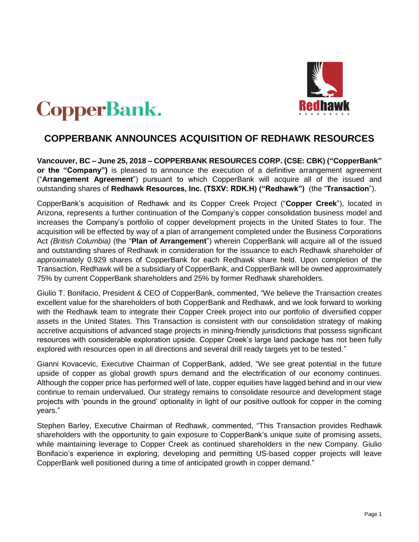



# **COPPERBANK ANNOUNCES ACQUISITION OF REDHAWK RESOURCES**

**Vancouver, BC – June 25, 2018 – COPPERBANK RESOURCES CORP. (CSE: CBK) ("CopperBank" or the "Company")** is pleased to announce the execution of a definitive arrangement agreement ("**Arrangement Agreement**") pursuant to which CopperBank will acquire all of the issued and outstanding shares of **Redhawk Resources, Inc. (TSXV: RDK.H) ("Redhawk")** (the "**Transaction**").

CopperBank's acquisition of Redhawk and its Copper Creek Project ("**Copper Creek**"), located in Arizona, represents a further continuation of the Company's copper consolidation business model and increases the Company's portfolio of copper development projects in the United States to four. The acquisition will be effected by way of a plan of arrangement completed under the Business Corporations Act *(British Columbia)* (the "**Plan of Arrangement**") wherein CopperBank will acquire all of the issued and outstanding shares of Redhawk in consideration for the issuance to each Redhawk shareholder of approximately 0.929 shares of CopperBank for each Redhawk share held. Upon completion of the Transaction, Redhawk will be a subsidiary of CopperBank, and CopperBank will be owned approximately 75% by current CopperBank shareholders and 25% by former Redhawk shareholders.

Giulio T. Bonifacio, President & CEO of CopperBank, commented, "We believe the Transaction creates excellent value for the shareholders of both CopperBank and Redhawk, and we look forward to working with the Redhawk team to integrate their Copper Creek project into our portfolio of diversified copper assets in the United States. This Transaction is consistent with our consolidation strategy of making accretive acquisitions of advanced stage projects in mining-friendly jurisdictions that possess significant resources with considerable exploration upside. Copper Creek's large land package has not been fully explored with resources open in all directions and several drill ready targets yet to be tested."

Gianni Kovacevic, Executive Chairman of CopperBank, added, "We see great potential in the future upside of copper as global growth spurs demand and the electrification of our economy continues. Although the copper price has performed well of late, copper equities have lagged behind and in our view continue to remain undervalued. Our strategy remains to consolidate resource and development stage projects with 'pounds in the ground' optionality in light of our positive outlook for copper in the coming years."

Stephen Barley, Executive Chairman of Redhawk, commented, "This Transaction provides Redhawk shareholders with the opportunity to gain exposure to CopperBank's unique suite of promising assets, while maintaining leverage to Copper Creek as continued shareholders in the new Company. Giulio Bonifacio's experience in exploring, developing and permitting US-based copper projects will leave CopperBank well positioned during a time of anticipated growth in copper demand."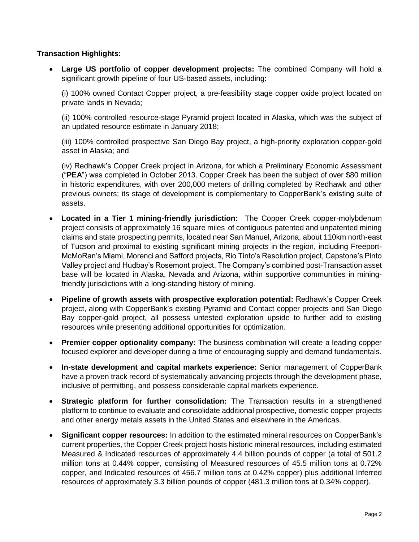## **Transaction Highlights:**

• **Large US portfolio of copper development projects:** The combined Company will hold a significant growth pipeline of four US-based assets, including:

(i) 100% owned Contact Copper project, a pre-feasibility stage copper oxide project located on private lands in Nevada;

(ii) 100% controlled resource-stage Pyramid project located in Alaska, which was the subject of an updated resource estimate in January 2018;

(iii) 100% controlled prospective San Diego Bay project, a high-priority exploration copper-gold asset in Alaska; and

(iv) Redhawk's Copper Creek project in Arizona, for which a Preliminary Economic Assessment ("**PEA**") was completed in October 2013. Copper Creek has been the subject of over \$80 million in historic expenditures, with over 200,000 meters of drilling completed by Redhawk and other previous owners; its stage of development is complementary to CopperBank's existing suite of assets.

- **Located in a Tier 1 mining-friendly jurisdiction:** The Copper Creek copper-molybdenum project consists of approximately 16 square miles of contiguous patented and unpatented mining claims and state prospecting permits, located near San Manuel, Arizona, about 110km north-east of Tucson and proximal to existing significant mining projects in the region, including Freeport-McMoRan's Miami, Morenci and Safford projects, Rio Tinto's Resolution project, Capstone's Pinto Valley project and Hudbay's Rosemont project. The Company's combined post-Transaction asset base will be located in Alaska, Nevada and Arizona, within supportive communities in miningfriendly jurisdictions with a long-standing history of mining.
- **Pipeline of growth assets with prospective exploration potential:** Redhawk's Copper Creek project, along with CopperBank's existing Pyramid and Contact copper projects and San Diego Bay copper-gold project, all possess untested exploration upside to further add to existing resources while presenting additional opportunities for optimization.
- **Premier copper optionality company:** The business combination will create a leading copper focused explorer and developer during a time of encouraging supply and demand fundamentals.
- **In-state development and capital markets experience:** Senior management of CopperBank have a proven track record of systematically advancing projects through the development phase, inclusive of permitting, and possess considerable capital markets experience.
- **Strategic platform for further consolidation:** The Transaction results in a strengthened platform to continue to evaluate and consolidate additional prospective, domestic copper projects and other energy metals assets in the United States and elsewhere in the Americas.
- **Significant copper resources:** In addition to the estimated mineral resources on CopperBank's current properties, the Copper Creek project hosts historic mineral resources, including estimated Measured & Indicated resources of approximately 4.4 billion pounds of copper (a total of 501.2 million tons at 0.44% copper, consisting of Measured resources of 45.5 million tons at 0.72% copper, and Indicated resources of 456.7 million tons at 0.42% copper) plus additional Inferred resources of approximately 3.3 billion pounds of copper (481.3 million tons at 0.34% copper).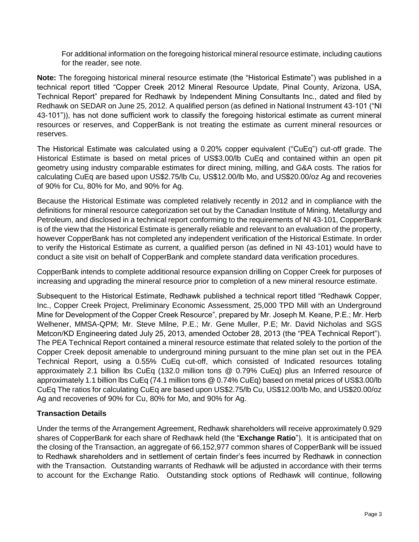For additional information on the foregoing historical mineral resource estimate, including cautions for the reader, see note.

**Note:** The foregoing historical mineral resource estimate (the "Historical Estimate") was published in a technical report titled "Copper Creek 2012 Mineral Resource Update, Pinal County, Arizona, USA, Technical Report" prepared for Redhawk by Independent Mining Consultants Inc., dated and filed by Redhawk on SEDAR on June 25, 2012. A qualified person (as defined in National Instrument 43-101 ("NI 43-101")), has not done sufficient work to classify the foregoing historical estimate as current mineral resources or reserves, and CopperBank is not treating the estimate as current mineral resources or reserves.

The Historical Estimate was calculated using a 0.20% copper equivalent ("CuEq") cut-off grade. The Historical Estimate is based on metal prices of US\$3.00/lb CuEq and contained within an open pit geometry using industry comparable estimates for direct mining, milling, and G&A costs. The ratios for calculating CuEq are based upon US\$2.75/lb Cu, US\$12.00/lb Mo, and US\$20.00/oz Ag and recoveries of 90% for Cu, 80% for Mo, and 90% for Ag.

Because the Historical Estimate was completed relatively recently in 2012 and in compliance with the definitions for mineral resource categorization set out by the Canadian Institute of Mining, Metallurgy and Petroleum, and disclosed in a technical report conforming to the requirements of NI 43-101, CopperBank is of the view that the Historical Estimate is generally reliable and relevant to an evaluation of the property, however CopperBank has not completed any independent verification of the Historical Estimate. In order to verify the Historical Estimate as current, a qualified person (as defined in NI 43-101) would have to conduct a site visit on behalf of CopperBank and complete standard data verification procedures.

CopperBank intends to complete additional resource expansion drilling on Copper Creek for purposes of increasing and upgrading the mineral resource prior to completion of a new mineral resource estimate.

Subsequent to the Historical Estimate, Redhawk published a technical report titled "Redhawk Copper, Inc., Copper Creek Project, Preliminary Economic Assessment, 25,000 TPD Mill with an Underground Mine for Development of the Copper Creek Resource", prepared by Mr. Joseph M. Keane, P.E.; Mr. Herb Welhener, MMSA-QPM; Mr. Steve Milne, P.E.; Mr. Gene Muller, P.E; Mr. David Nicholas and SGS Metcon/KD Engineering dated July 25, 2013, amended October 28, 2013 (the "PEA Technical Report"). The PEA Technical Report contained a mineral resource estimate that related solely to the portion of the Copper Creek deposit amenable to underground mining pursuant to the mine plan set out in the PEA Technical Report, using a 0.55% CuEq cut-off, which consisted of Indicated resources totaling approximately 2.1 billion lbs CuEq (132.0 million tons @ 0.79% CuEq) plus an Inferred resource of approximately 1.1 billion lbs CuEq (74.1 million tons @ 0.74% CuEq) based on metal prices of US\$3.00/lb CuEq The ratios for calculating CuEq are based upon US\$2.75/lb Cu, US\$12.00/lb Mo, and US\$20.00/oz Ag and recoveries of 90% for Cu, 80% for Mo, and 90% for Ag.

## **Transaction Details**

Under the terms of the Arrangement Agreement, Redhawk shareholders will receive approximately 0.929 shares of CopperBank for each share of Redhawk held (the "**Exchange Ratio**"). It is anticipated that on the closing of the Transaction, an aggregate of 66,152,977 common shares of CopperBank will be issued to Redhawk shareholders and in settlement of certain finder's fees incurred by Redhawk in connection with the Transaction. Outstanding warrants of Redhawk will be adjusted in accordance with their terms to account for the Exchange Ratio. Outstanding stock options of Redhawk will continue, following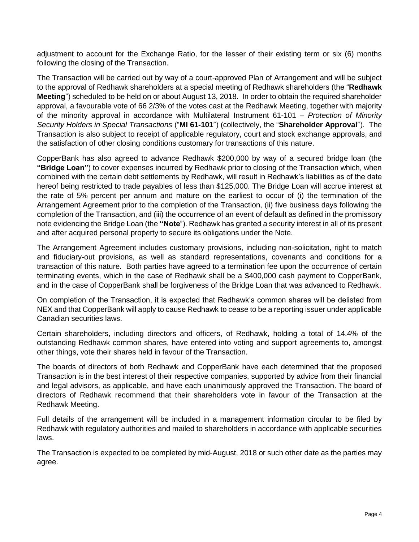adjustment to account for the Exchange Ratio, for the lesser of their existing term or six (6) months following the closing of the Transaction.

The Transaction will be carried out by way of a court-approved Plan of Arrangement and will be subject to the approval of Redhawk shareholders at a special meeting of Redhawk shareholders (the "**Redhawk Meeting**") scheduled to be held on or about August 13, 2018. In order to obtain the required shareholder approval, a favourable vote of 66 2/3% of the votes cast at the Redhawk Meeting, together with majority of the minority approval in accordance with Multilateral Instrument 61-101 – *Protection of Minority Security Holders in Special Transactions* ("**MI 61-101**") (collectively, the "**Shareholder Approval**"). The Transaction is also subject to receipt of applicable regulatory, court and stock exchange approvals, and the satisfaction of other closing conditions customary for transactions of this nature.

CopperBank has also agreed to advance Redhawk \$200,000 by way of a secured bridge loan (the **"Bridge Loan"**) to cover expenses incurred by Redhawk prior to closing of the Transaction which, when combined with the certain debt settlements by Redhawk, will result in Redhawk's liabilities as of the date hereof being restricted to trade payables of less than \$125,000. The Bridge Loan will accrue interest at the rate of 5% percent per annum and mature on the earliest to occur of (i) the termination of the Arrangement Agreement prior to the completion of the Transaction, (ii) five business days following the completion of the Transaction, and (iii) the occurrence of an event of default as defined in the promissory note evidencing the Bridge Loan (the **"Note**"). Redhawk has granted a security interest in all of its present and after acquired personal property to secure its obligations under the Note.

The Arrangement Agreement includes customary provisions, including non-solicitation, right to match and fiduciary-out provisions, as well as standard representations, covenants and conditions for a transaction of this nature. Both parties have agreed to a termination fee upon the occurrence of certain terminating events, which in the case of Redhawk shall be a \$400,000 cash payment to CopperBank, and in the case of CopperBank shall be forgiveness of the Bridge Loan that was advanced to Redhawk.

On completion of the Transaction, it is expected that Redhawk's common shares will be delisted from NEX and that CopperBank will apply to cause Redhawk to cease to be a reporting issuer under applicable Canadian securities laws.

Certain shareholders, including directors and officers, of Redhawk, holding a total of 14.4% of the outstanding Redhawk common shares, have entered into voting and support agreements to, amongst other things, vote their shares held in favour of the Transaction.

The boards of directors of both Redhawk and CopperBank have each determined that the proposed Transaction is in the best interest of their respective companies, supported by advice from their financial and legal advisors, as applicable, and have each unanimously approved the Transaction. The board of directors of Redhawk recommend that their shareholders vote in favour of the Transaction at the Redhawk Meeting.

Full details of the arrangement will be included in a management information circular to be filed by Redhawk with regulatory authorities and mailed to shareholders in accordance with applicable securities laws.

The Transaction is expected to be completed by mid-August, 2018 or such other date as the parties may agree.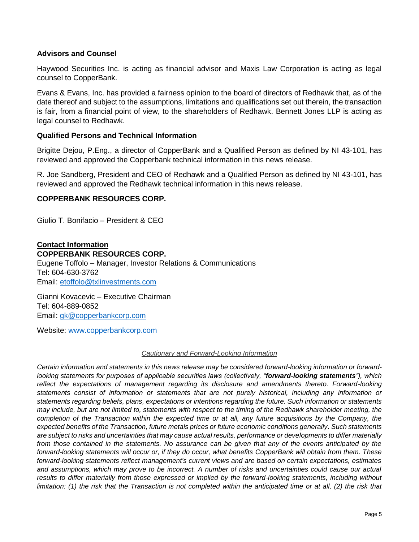#### **Advisors and Counsel**

Haywood Securities Inc. is acting as financial advisor and Maxis Law Corporation is acting as legal counsel to CopperBank.

Evans & Evans, Inc. has provided a fairness opinion to the board of directors of Redhawk that, as of the date thereof and subject to the assumptions, limitations and qualifications set out therein, the transaction is fair, from a financial point of view, to the shareholders of Redhawk. Bennett Jones LLP is acting as legal counsel to Redhawk.

### **Qualified Persons and Technical Information**

Brigitte Dejou, P.Eng., a director of CopperBank and a Qualified Person as defined by NI 43-101, has reviewed and approved the Copperbank technical information in this news release.

R. Joe Sandberg, President and CEO of Redhawk and a Qualified Person as defined by NI 43-101, has reviewed and approved the Redhawk technical information in this news release.

#### **COPPERBANK RESOURCES CORP.**

Giulio T. Bonifacio – President & CEO

#### **Contact Information COPPERBANK RESOURCES CORP.**

Eugene Toffolo – Manager, Investor Relations & Communications Tel: 604-630-3762 Email: [etoffolo@txlinvestments.com](mailto:etoffolo@txlinvestments.com)

Gianni Kovacevic – Executive Chairman Tel: 604-889-0852 Email: [gk@copperbankcorp.com](mailto:gk@copperbankcorp.com) 

Website: [www.copperbankcorp.com](http://www.copperbankcorp.com/)

#### *Cautionary and Forward-Looking Information*

*Certain information and statements in this news release may be considered forward-looking information or forwardlooking statements for purposes of applicable securities laws (collectively, "forward-looking statements"), which reflect the expectations of management regarding its disclosure and amendments thereto. Forward-looking statements consist of information or statements that are not purely historical, including any information or statements regarding beliefs, plans, expectations or intentions regarding the future. Such information or statements may include, but are not limited to, statements with respect to the timing of the Redhawk shareholder meeting, the completion of the Transaction within the expected time or at all, any future acquisitions by the Company, the expected benefits of the Transaction, future metals prices or future economic conditions generally. Such statements are subject to risks and uncertainties that may cause actual results, performance or developments to differ materially from those contained in the statements. No assurance can be given that any of the events anticipated by the forward-looking statements will occur or, if they do occur, what benefits CopperBank will obtain from them. These forward-looking statements reflect management's current views and are based on certain expectations, estimates and assumptions, which may prove to be incorrect. A number of risks and uncertainties could cause our actual*  results to differ materially from those expressed or implied by the forward-looking statements, including without *limitation: (1) the risk that the Transaction is not completed within the anticipated time or at all, (2) the risk that*